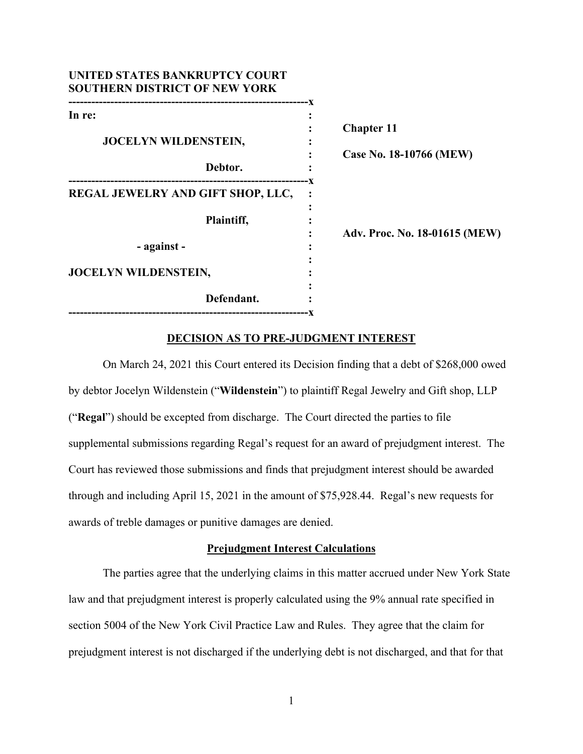| <b>Chapter 11</b>             |
|-------------------------------|
| Case No. 18-10766 (MEW)       |
|                               |
|                               |
| Adv. Proc. No. 18-01615 (MEW) |
|                               |
|                               |
|                               |

## **DECISION AS TO PRE-JUDGMENT INTEREST**

On March 24, 2021 this Court entered its Decision finding that a debt of \$268,000 owed by debtor Jocelyn Wildenstein ("**Wildenstein**") to plaintiff Regal Jewelry and Gift shop, LLP ("**Regal**") should be excepted from discharge. The Court directed the parties to file supplemental submissions regarding Regal's request for an award of prejudgment interest. The Court has reviewed those submissions and finds that prejudgment interest should be awarded through and including April 15, 2021 in the amount of \$75,928.44. Regal's new requests for awards of treble damages or punitive damages are denied.

## **Prejudgment Interest Calculations**

The parties agree that the underlying claims in this matter accrued under New York State law and that prejudgment interest is properly calculated using the 9% annual rate specified in section 5004 of the New York Civil Practice Law and Rules. They agree that the claim for prejudgment interest is not discharged if the underlying debt is not discharged, and that for that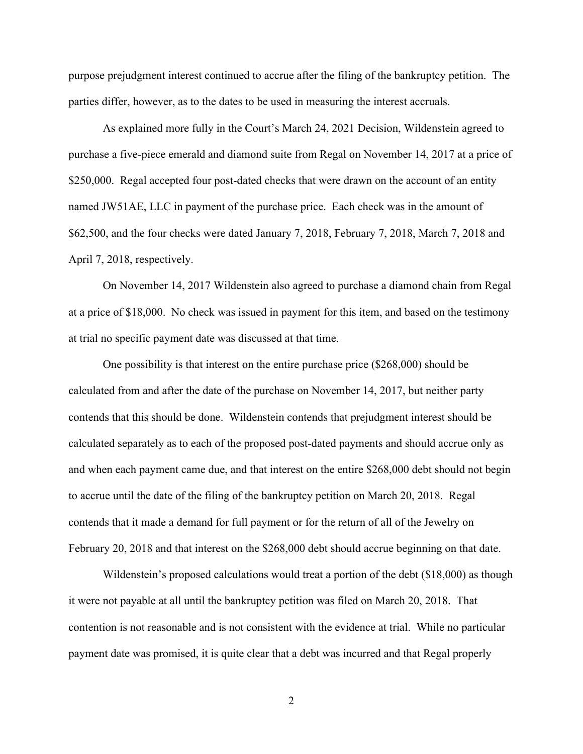purpose prejudgment interest continued to accrue after the filing of the bankruptcy petition. The parties differ, however, as to the dates to be used in measuring the interest accruals.

As explained more fully in the Court's March 24, 2021 Decision, Wildenstein agreed to purchase a five-piece emerald and diamond suite from Regal on November 14, 2017 at a price of \$250,000. Regal accepted four post-dated checks that were drawn on the account of an entity named JW51AE, LLC in payment of the purchase price. Each check was in the amount of \$62,500, and the four checks were dated January 7, 2018, February 7, 2018, March 7, 2018 and April 7, 2018, respectively.

On November 14, 2017 Wildenstein also agreed to purchase a diamond chain from Regal at a price of \$18,000. No check was issued in payment for this item, and based on the testimony at trial no specific payment date was discussed at that time.

One possibility is that interest on the entire purchase price (\$268,000) should be calculated from and after the date of the purchase on November 14, 2017, but neither party contends that this should be done. Wildenstein contends that prejudgment interest should be calculated separately as to each of the proposed post-dated payments and should accrue only as and when each payment came due, and that interest on the entire \$268,000 debt should not begin to accrue until the date of the filing of the bankruptcy petition on March 20, 2018. Regal contends that it made a demand for full payment or for the return of all of the Jewelry on February 20, 2018 and that interest on the \$268,000 debt should accrue beginning on that date.

Wildenstein's proposed calculations would treat a portion of the debt (\$18,000) as though it were not payable at all until the bankruptcy petition was filed on March 20, 2018. That contention is not reasonable and is not consistent with the evidence at trial. While no particular payment date was promised, it is quite clear that a debt was incurred and that Regal properly

2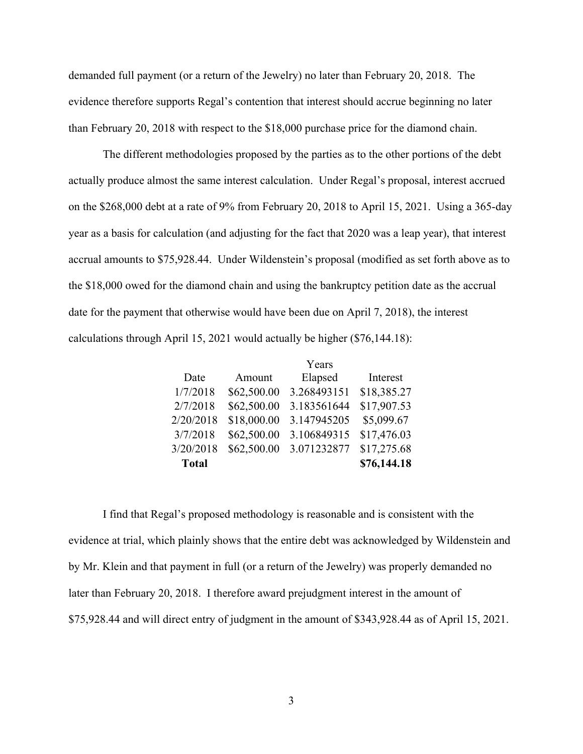demanded full payment (or a return of the Jewelry) no later than February 20, 2018. The evidence therefore supports Regal's contention that interest should accrue beginning no later than February 20, 2018 with respect to the \$18,000 purchase price for the diamond chain.

The different methodologies proposed by the parties as to the other portions of the debt actually produce almost the same interest calculation. Under Regal's proposal, interest accrued on the \$268,000 debt at a rate of 9% from February 20, 2018 to April 15, 2021. Using a 365-day year as a basis for calculation (and adjusting for the fact that 2020 was a leap year), that interest accrual amounts to \$75,928.44. Under Wildenstein's proposal (modified as set forth above as to the \$18,000 owed for the diamond chain and using the bankruptcy petition date as the accrual date for the payment that otherwise would have been due on April 7, 2018), the interest calculations through April 15, 2021 would actually be higher (\$76,144.18):

|              |             | Years       |             |
|--------------|-------------|-------------|-------------|
| Date         | Amount      | Elapsed     | Interest    |
| 1/7/2018     | \$62,500.00 | 3.268493151 | \$18,385.27 |
| 2/7/2018     | \$62,500.00 | 3.183561644 | \$17,907.53 |
| 2/20/2018    | \$18,000.00 | 3.147945205 | \$5,099.67  |
| 3/7/2018     | \$62,500.00 | 3.106849315 | \$17,476.03 |
| 3/20/2018    | \$62,500.00 | 3.071232877 | \$17,275.68 |
| <b>Total</b> |             |             | \$76,144.18 |

I find that Regal's proposed methodology is reasonable and is consistent with the evidence at trial, which plainly shows that the entire debt was acknowledged by Wildenstein and by Mr. Klein and that payment in full (or a return of the Jewelry) was properly demanded no later than February 20, 2018. I therefore award prejudgment interest in the amount of \$75,928.44 and will direct entry of judgment in the amount of \$343,928.44 as of April 15, 2021.